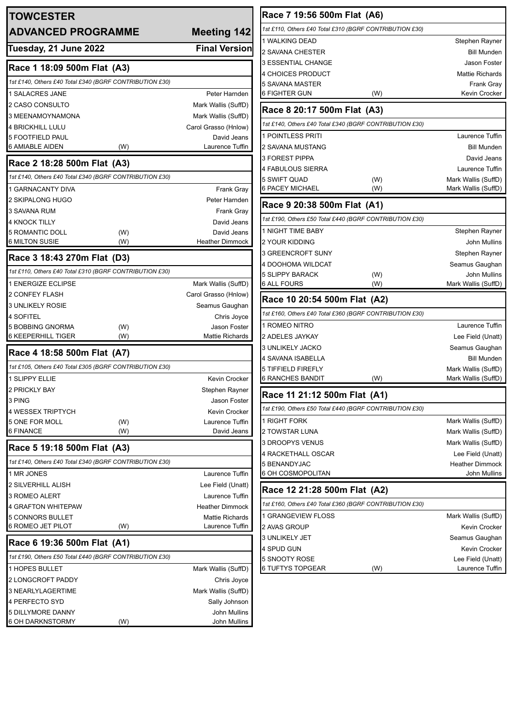| <b>TOWCESTER</b>                                            |                                 | Race 7 19:56 500m Flat (A6)                             |                                            |
|-------------------------------------------------------------|---------------------------------|---------------------------------------------------------|--------------------------------------------|
| <b>ADVANCED PROGRAMME</b>                                   | Meeting 142                     | 1st £110, Others £40 Total £310 (BGRF CONTRIBUTION £30) |                                            |
|                                                             |                                 | 1 WALKING DEAD                                          | Stephen Rayner                             |
| Tuesday, 21 June 2022                                       | <b>Final Version</b>            | 2 SAVANA CHESTER                                        | Bill Munden                                |
| Race 1 18:09 500m Flat (A3)                                 |                                 | 3 ESSENTIAL CHANGE                                      | <b>Jason Foster</b>                        |
| 1st £140, Others £40 Total £340 (BGRF CONTRIBUTION £30)     |                                 | <b>4 CHOICES PRODUCT</b>                                | <b>Mattie Richards</b>                     |
| 1 SALACRES JANE                                             | Peter Harnden                   | 5 SAVANA MASTER<br><b>6 FIGHTER GUN</b><br>(W)          | Frank Gray<br>Kevin Crocker                |
| 2 CASO CONSULTO                                             | Mark Wallis (SuffD)             |                                                         |                                            |
| 3 MEENAMOYNAMONA                                            | Mark Wallis (SuffD)             | Race 8 20:17 500m Flat (A3)                             |                                            |
| <b>4 BRICKHILL LULU</b>                                     | Carol Grasso (Hnlow)            | 1st £140, Others £40 Total £340 (BGRF CONTRIBUTION £30) |                                            |
| <b>5 FOOTFIELD PAUL</b>                                     | David Jeans                     | 1 POINTLESS PRITI                                       | Laurence Tuffin                            |
| 6 AMIABLE AIDEN<br>(W)                                      | Laurence Tuffin                 | 2 SAVANA MUSTANG                                        | <b>Bill Munden</b>                         |
| Race 2 18:28 500m Flat (A3)                                 |                                 | <b>3 FOREST PIPPA</b>                                   | David Jeans                                |
| 1st £140, Others £40 Total £340 (BGRF CONTRIBUTION £30)     |                                 | 4 FABULOUS SIERRA                                       | Laurence Tuffin                            |
| 1 GARNACANTY DIVA                                           | <b>Frank Gray</b>               | 5 SWIFT QUAD<br>(W)<br><b>6 PACEY MICHAEL</b><br>(W)    | Mark Wallis (SuffD)<br>Mark Wallis (SuffD) |
| 2 SKIPALONG HUGO                                            | Peter Harnden                   |                                                         |                                            |
| 3 SAVANA RUM                                                | <b>Frank Gray</b>               | Race 9 20:38 500m Flat (A1)                             |                                            |
| <b>4 KNOCK TILLY</b>                                        | David Jeans                     | 1st £190, Others £50 Total £440 (BGRF CONTRIBUTION £30) |                                            |
| <b>5 ROMANTIC DOLL</b><br>(W)                               | David Jeans                     | 1 NIGHT TIME BABY                                       | <b>Stephen Rayner</b>                      |
| <b>6 MILTON SUSIE</b><br>(W)                                | <b>Heather Dimmock</b>          | 2 YOUR KIDDING                                          | John Mullins                               |
| Race 3 18:43 270m Flat (D3)                                 |                                 | 3 GREENCROFT SUNY                                       | Stephen Rayner                             |
|                                                             |                                 | 4 DOOHOMA WILDCAT                                       | Seamus Gaughan                             |
| 1st £110, Others £40 Total £310 (BGRF CONTRIBUTION £30)     |                                 | <b>5 SLIPPY BARACK</b><br>(W)                           | John Mullins                               |
| 1 ENERGIZE ECLIPSE                                          | Mark Wallis (SuffD)             | <b>6 ALL FOURS</b><br>(W)                               | Mark Wallis (SuffD)                        |
| 2 CONFEY FLASH                                              | Carol Grasso (Hnlow)            | Race 10 20:54 500m Flat (A2)                            |                                            |
| <b>3 UNLIKELY ROSIE</b>                                     | Seamus Gaughan                  | 1st £160, Others £40 Total £360 (BGRF CONTRIBUTION £30) |                                            |
| 4 SOFITEL                                                   | Chris Joyce                     | 1 ROMEO NITRO                                           | Laurence Tuffin                            |
| 5 BOBBING GNORMA<br>(W)<br><b>6 KEEPERHILL TIGER</b><br>(W) | Jason Foster<br>Mattie Richards | 2 ADELES JAYKAY                                         | Lee Field (Unatt)                          |
|                                                             |                                 | <b>3 UNLIKELY JACKO</b>                                 | Seamus Gaughan                             |
| Race 4 18:58 500m Flat (A7)                                 |                                 | 4 SAVANA ISABELLA                                       | <b>Bill Munden</b>                         |
| 1st £105, Others £40 Total £305 (BGRF CONTRIBUTION £30)     |                                 | 5 TIFFIELD FIREFLY                                      | Mark Wallis (SuffD)                        |
| 1 SLIPPY ELLIE                                              | Kevin Crocker                   | <b>6 RANCHES BANDIT</b><br>(W)                          | Mark Wallis (SuffD)                        |
| 2 PRICKLY BAY                                               | Stephen Rayner                  | Race 11 21:12 500m Flat (A1)                            |                                            |
| 3 PING                                                      | Jason Foster                    |                                                         |                                            |
| 4 WESSEX TRIPTYCH                                           | Kevin Crocker                   | 1st £190, Others £50 Total £440 (BGRF CONTRIBUTION £30) |                                            |
| 5 ONE FOR MOLL<br>(W)<br>6 FINANCE<br>(W)                   | Laurence Tuffin<br>David Jeans  | 1 RIGHT FORK                                            | Mark Wallis (SuffD)                        |
|                                                             |                                 | 2 TOWSTAR LUNA<br><b>3 DROOPYS VENUS</b>                | Mark Wallis (SuffD)<br>Mark Wallis (SuffD) |
| Race 5 19:18 500m Flat (A3)                                 |                                 | 4 RACKETHALL OSCAR                                      | Lee Field (Unatt)                          |
| 1st £140, Others £40 Total £340 (BGRF CONTRIBUTION £30)     |                                 | 5 BENANDYJAC                                            | <b>Heather Dimmock</b>                     |
| 1 MR JONES                                                  | Laurence Tuffin                 | 6 OH COSMOPOLITAN                                       | John Mullins                               |
| <b>2 SILVERHILL ALISH</b>                                   | Lee Field (Unatt)               |                                                         |                                            |
| 3 ROMEO ALERT                                               | Laurence Tuffin                 | Race 12 21:28 500m Flat (A2)                            |                                            |
| 4 GRAFTON WHITEPAW                                          | <b>Heather Dimmock</b>          | 1st £160, Others £40 Total £360 (BGRF CONTRIBUTION £30) |                                            |
| 5 CONNORS BULLET                                            | <b>Mattie Richards</b>          | 1 GRANGEVIEW FLOSS                                      | Mark Wallis (SuffD)                        |
| 6 ROMEO JET PILOT<br>(W)                                    | Laurence Tuffin                 | 2 AVAS GROUP                                            | <b>Kevin Crocker</b>                       |
| Race 6 19:36 500m Flat (A1)                                 |                                 | 3 UNLIKELY JET                                          | Seamus Gaughan                             |
| 1st £190, Others £50 Total £440 (BGRF CONTRIBUTION £30)     |                                 | 4 SPUD GUN                                              | <b>Kevin Crocker</b>                       |
| 1 HOPES BULLET                                              | Mark Wallis (SuffD)             | 5 SNOOTY ROSE<br>6 TUFTYS TOPGEAR<br>(W)                | Lee Field (Unatt)<br>Laurence Tuffin       |
| 2 LONGCROFT PADDY                                           | Chris Joyce                     |                                                         |                                            |
| 3 NEARLYLAGERTIME                                           | Mark Wallis (SuffD)             |                                                         |                                            |
| 4 PERFECTO SYD                                              | Sally Johnson                   |                                                         |                                            |
| 5 DILLYMORE DANNY                                           | John Mullins                    |                                                         |                                            |
| 6 OH DARKNSTORMY<br>(W)                                     | John Mullins                    |                                                         |                                            |
|                                                             |                                 |                                                         |                                            |